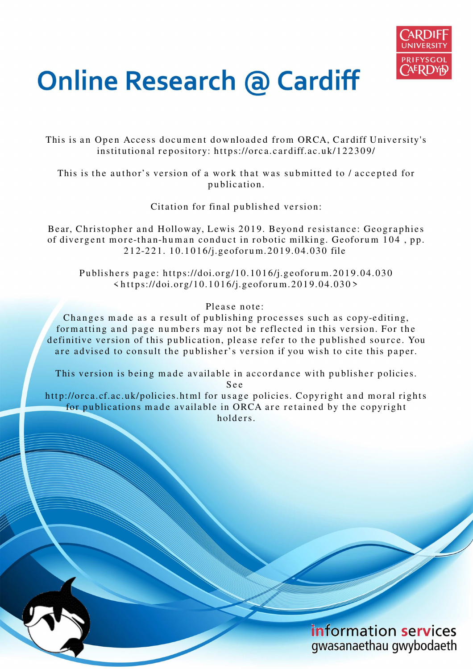

# **Online Research @ Cardiff**

This is an Open Access document downloaded from ORCA, Cardiff University's institutional repository: https://orca.cardiff.ac.uk/122309/

This is the author's version of a work that was submitted to / accepted for p u blication.

Citation for final published version:

Bear, Christopher and Holloway, Lewis 2019. Beyond resistance: Geographies of divergent more-than-human conduct in robotic milking. Geoforum 104, pp. 2 1 2-2 2 1. 1 0.1 0 1 6/j.geofor u m.2 0 1 9.0 4.03 0 file

Publishers page: https://doi.org/10.1016/j.geoforum.2019.04.030  $\langle$ https://doi.org/10.1016/j.geoforum.2019.04.030>

Please note:

Changes made as a result of publishing processes such as copy-editing, formatting and page numbers may not be reflected in this version. For the definitive version of this publication, please refer to the published source. You are advised to consult the publisher's version if you wish to cite this paper.

This version is being made available in accordance with publisher policies.

S e e

http://orca.cf.ac.uk/policies.html for usage policies. Copyright and moral rights for publications made available in ORCA are retained by the copyright holders.

> information services gwasanaethau gwybodaeth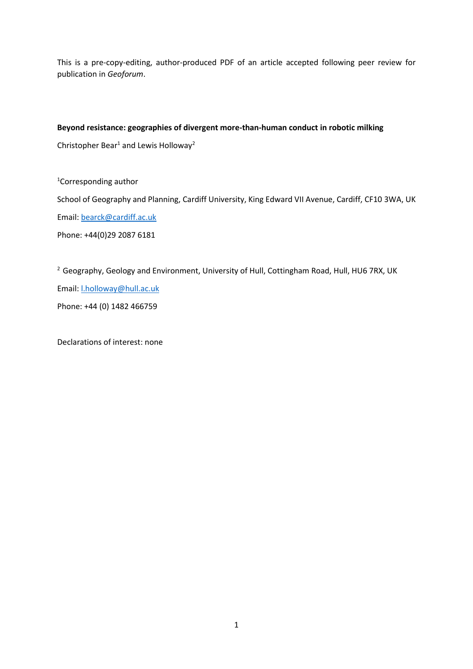This is a pre-copy-editing, author-produced PDF of an article accepted following peer review for publication in *Geoforum*.

# **Beyond resistance: geographies of divergent more-than-human conduct in robotic milking**

Christopher Bear<sup>1</sup> and Lewis Holloway<sup>2</sup>

<sup>1</sup>Corresponding author

School of Geography and Planning, Cardiff University, King Edward VII Avenue, Cardiff, CF10 3WA, UK

Email: [bearck@cardiff.ac.uk](mailto:bearck@cardiff.ac.uk)

Phone: +44(0)29 2087 6181

<sup>2</sup> Geography, Geology and Environment, University of Hull, Cottingham Road, Hull, HU6 7RX, UK Email: [l.holloway@hull.ac.uk](mailto:l.holloway@hull.ac.uk) Phone: +44 (0) 1482 466759

Declarations of interest: none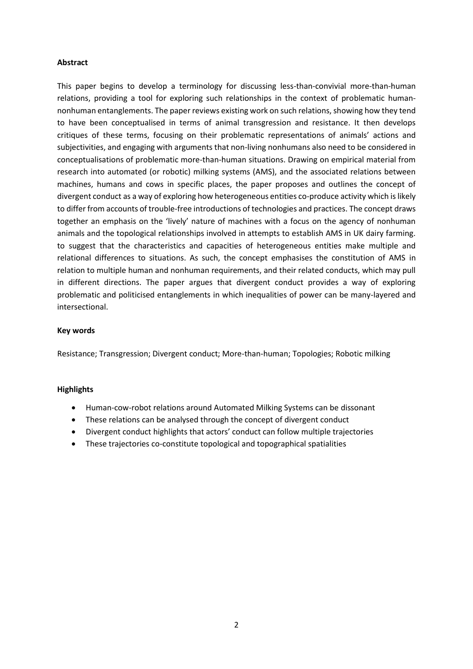### **Abstract**

This paper begins to develop a terminology for discussing less-than-convivial more-than-human relations, providing a tool for exploring such relationships in the context of problematic humannonhuman entanglements. The paper reviews existing work on such relations, showing how they tend to have been conceptualised in terms of animal transgression and resistance. It then develops critiques of these terms, focusing on their problematic representations of animals' actions and subjectivities, and engaging with arguments that non-living nonhumans also need to be considered in conceptualisations of problematic more-than-human situations. Drawing on empirical material from research into automated (or robotic) milking systems (AMS), and the associated relations between machines, humans and cows in specific places, the paper proposes and outlines the concept of divergent conduct as a way of exploring how heterogeneous entities co-produce activity which is likely to differ from accounts of trouble-free introductions of technologies and practices. The concept draws together an emphasis on the 'lively' nature of machines with a focus on the agency of nonhuman animals and the topological relationships involved in attempts to establish AMS in UK dairy farming. to suggest that the characteristics and capacities of heterogeneous entities make multiple and relational differences to situations. As such, the concept emphasises the constitution of AMS in relation to multiple human and nonhuman requirements, and their related conducts, which may pull in different directions. The paper argues that divergent conduct provides a way of exploring problematic and politicised entanglements in which inequalities of power can be many-layered and intersectional.

#### **Key words**

Resistance; Transgression; Divergent conduct; More-than-human; Topologies; Robotic milking

#### **Highlights**

- Human-cow-robot relations around Automated Milking Systems can be dissonant
- These relations can be analysed through the concept of divergent conduct
- Divergent conduct highlights that actors' conduct can follow multiple trajectories
- These trajectories co-constitute topological and topographical spatialities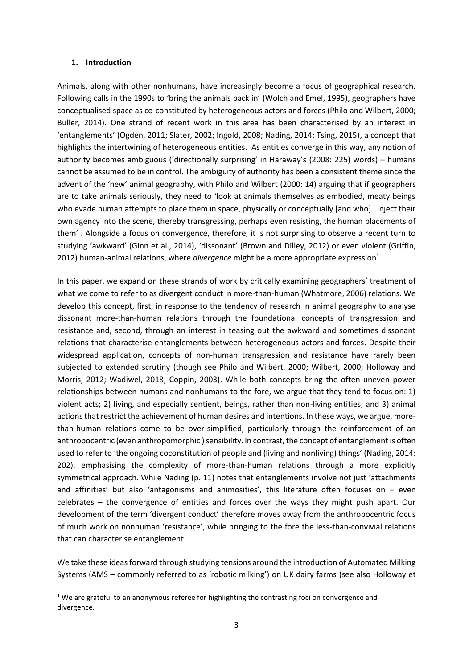#### **1. Introduction**

<u>.</u>

Animals, along with other nonhumans, have increasingly become a focus of geographical research. Following calls in the 1990s to 'bring the animals back in' (Wolch and Emel, 1995), geographers have conceptualised space as co-constituted by heterogeneous actors and forces (Philo and Wilbert, 2000; Buller, 2014). One strand of recent work in this area has been characterised by an interest in 'entanglements' (Ogden, 2011; Slater, 2002; Ingold, 2008; Nading, 2014; Tsing, 2015), a concept that highlights the intertwining of heterogeneous entities. As entities converge in this way, any notion of authority becomes ambiguous ('directionally surprising' in Haraway's (2008: 225) words) – humans cannot be assumed to be in control. The ambiguity of authority has been a consistent theme since the advent of the 'new' animal geography, with Philo and Wilbert (2000: 14) arguing that if geographers are to take animals seriously, they need to 'look at animals themselves as embodied, meaty beings who evade human attempts to place them in space, physically or conceptually [and who]...inject their own agency into the scene, thereby transgressing, perhaps even resisting, the human placements of them' . Alongside a focus on convergence, therefore, it is not surprising to observe a recent turn to studying 'awkward' (Ginn et al., 2014), 'dissonant' (Brown and Dilley, 2012) or even violent (Griffin, 2012) human-animal relations, where *divergence* might be a more appropriate expression<sup>1</sup>.

In this paper, we expand on these strands of work by critically examining geographers' treatment of what we come to refer to as divergent conduct in more-than-human (Whatmore, 2006) relations. We develop this concept, first, in response to the tendency of research in animal geography to analyse dissonant more-than-human relations through the foundational concepts of transgression and resistance and, second, through an interest in teasing out the awkward and sometimes dissonant relations that characterise entanglements between heterogeneous actors and forces. Despite their widespread application, concepts of non-human transgression and resistance have rarely been subjected to extended scrutiny (though see Philo and Wilbert, 2000; Wilbert, 2000; Holloway and Morris, 2012; Wadiwel, 2018; Coppin, 2003). While both concepts bring the often uneven power relationships between humans and nonhumans to the fore, we argue that they tend to focus on: 1) violent acts; 2) living, and especially sentient, beings, rather than non-living entities; and 3) animal actions that restrict the achievement of human desires and intentions. In these ways, we argue, morethan-human relations come to be over-simplified, particularly through the reinforcement of an anthropocentric (even anthropomorphic ) sensibility. In contrast, the concept of entanglement is often used to refer to 'the ongoing coconstitution of people and (living and nonliving) things' (Nading, 2014: 202), emphasising the complexity of more-than-human relations through a more explicitly symmetrical approach. While Nading (p. 11) notes that entanglements involve not just 'attachments and affinities' but also 'antagonisms and animosities', this literature often focuses on  $-$  even celebrates – the convergence of entities and forces over the ways they might push apart. Our development of the term 'divergent conduct' therefore moves away from the anthropocentric focus of much work on nonhuman 'resistance', while bringing to the fore the less-than-convivial relations that can characterise entanglement.

We take these ideas forward through studying tensions around the introduction of Automated Milking Systems (AMS – commonly referred to as 'robotic milking') on UK dairy farms (see also Holloway et

 $1$  We are grateful to an anonymous referee for highlighting the contrasting foci on convergence and divergence.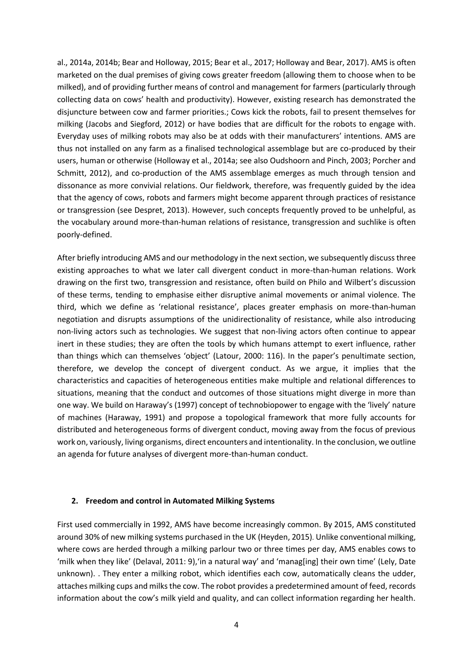al., 2014a, 2014b; Bear and Holloway, 2015; Bear et al., 2017; Holloway and Bear, 2017). AMS is often marketed on the dual premises of giving cows greater freedom (allowing them to choose when to be milked), and of providing further means of control and management for farmers (particularly through collecting data on cows' health and productivity). However, existing research has demonstrated the disjuncture between cow and farmer priorities.; Cows kick the robots, fail to present themselves for milking (Jacobs and Siegford, 2012) or have bodies that are difficult for the robots to engage with. Everyday uses of milking robots may also be at odds with their manufacturers' intentions. AMS are thus not installed on any farm as a finalised technological assemblage but are co-produced by their users, human or otherwise (Holloway et al., 2014a; see also Oudshoorn and Pinch, 2003; Porcher and Schmitt, 2012), and co-production of the AMS assemblage emerges as much through tension and dissonance as more convivial relations. Our fieldwork, therefore, was frequently guided by the idea that the agency of cows, robots and farmers might become apparent through practices of resistance or transgression (see Despret, 2013). However, such concepts frequently proved to be unhelpful, as the vocabulary around more-than-human relations of resistance, transgression and suchlike is often poorly-defined.

After briefly introducing AMS and our methodology in the next section, we subsequently discuss three existing approaches to what we later call divergent conduct in more-than-human relations. Work drawing on the first two, transgression and resistance, often build on Philo and Wilbert's discussion of these terms, tending to emphasise either disruptive animal movements or animal violence. The third, which we define as 'relational resistance', places greater emphasis on more-than-human negotiation and disrupts assumptions of the unidirectionality of resistance, while also introducing non-living actors such as technologies. We suggest that non-living actors often continue to appear inert in these studies; they are often the tools by which humans attempt to exert influence, rather than things which can themselves 'object' (Latour, 2000: 116). In the paper's penultimate section, therefore, we develop the concept of divergent conduct. As we argue, it implies that the characteristics and capacities of heterogeneous entities make multiple and relational differences to situations, meaning that the conduct and outcomes of those situations might diverge in more than one way. We build on Haraway's (1997) concept of technobiopower to engage with the 'lively' nature of machines (Haraway, 1991) and propose a topological framework that more fully accounts for distributed and heterogeneous forms of divergent conduct, moving away from the focus of previous work on, variously, living organisms, direct encounters and intentionality. In the conclusion, we outline an agenda for future analyses of divergent more-than-human conduct.

# **2. Freedom and control in Automated Milking Systems**

First used commercially in 1992, AMS have become increasingly common. By 2015, AMS constituted around 30% of new milking systems purchased in the UK (Heyden, 2015). Unlike conventional milking, where cows are herded through a milking parlour two or three times per day, AMS enables cows to 'milk when they like' (Delaval, 2011: 9),'in a natural way' and 'manag[ing] their own time' (Lely, Date unknown). . They enter a milking robot, which identifies each cow, automatically cleans the udder, attaches milking cups and milks the cow. The robot provides a predetermined amount of feed, records information about the cow's milk yield and quality, and can collect information regarding her health.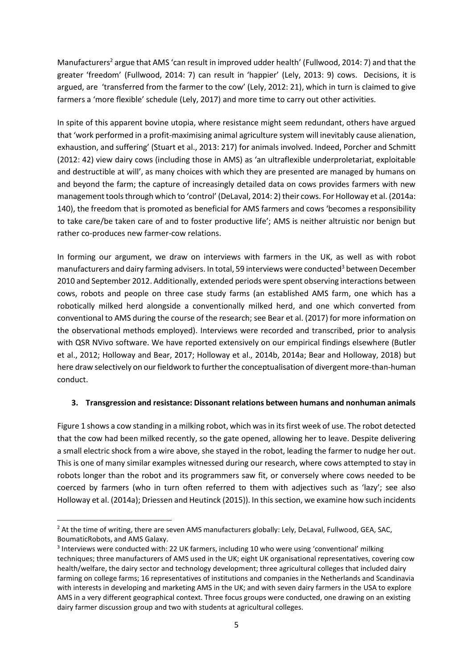Manufacturers<sup>2</sup> argue that AMS 'can result in improved udder health' (Fullwood, 2014: 7) and that the greater 'freedom' (Fullwood, 2014: 7) can result in 'happier' (Lely, 2013: 9) cows. Decisions, it is argued, are 'transferred from the farmer to the cow' (Lely, 2012: 21), which in turn is claimed to give farmers a 'more flexible' schedule (Lely, 2017) and more time to carry out other activities.

In spite of this apparent bovine utopia, where resistance might seem redundant, others have argued that 'work performed in a profit-maximising animal agriculture system will inevitably cause alienation, exhaustion, and suffering' (Stuart et al., 2013: 217) for animals involved. Indeed, Porcher and Schmitt (2012: 42) view dairy cows (including those in AMS) as 'an ultraflexible underproletariat, exploitable and destructible at will', as many choices with which they are presented are managed by humans on and beyond the farm; the capture of increasingly detailed data on cows provides farmers with new management tools through which to 'control' (DeLaval, 2014: 2) their cows. For Holloway et al. (2014a: 140), the freedom that is promoted as beneficial for AMS farmers and cows 'becomes a responsibility to take care/be taken care of and to foster productive life'; AMS is neither altruistic nor benign but rather co-produces new farmer-cow relations.

In forming our argument, we draw on interviews with farmers in the UK, as well as with robot manufacturers and dairy farming advisers. In total, 59 interviews were conducted<sup>3</sup> between December 2010 and September 2012. Additionally, extended periods were spent observing interactions between cows, robots and people on three case study farms (an established AMS farm, one which has a robotically milked herd alongside a conventionally milked herd, and one which converted from conventional to AMS during the course of the research; see Bear et al. (2017) for more information on the observational methods employed). Interviews were recorded and transcribed, prior to analysis with QSR NVivo software. We have reported extensively on our empirical findings elsewhere (Butler et al., 2012; Holloway and Bear, 2017; Holloway et al., 2014b, 2014a; Bear and Holloway, 2018) but here draw selectively on our fieldwork to further the conceptualisation of divergent more-than-human conduct.

# **3. Transgression and resistance: Dissonant relations between humans and nonhuman animals**

Figure 1 shows a cow standing in a milking robot, which was in its first week of use. The robot detected that the cow had been milked recently, so the gate opened, allowing her to leave. Despite delivering a small electric shock from a wire above, she stayed in the robot, leading the farmer to nudge her out. This is one of many similar examples witnessed during our research, where cows attempted to stay in robots longer than the robot and its programmers saw fit, or conversely where cows needed to be coerced by farmers (who in turn often referred to them with adjectives such as 'lazy'; see also Holloway et al. (2014a); Driessen and Heutinck (2015)). In this section, we examine how such incidents

<u>.</u>

<sup>&</sup>lt;sup>2</sup> At the time of writing, there are seven AMS manufacturers globally: Lely, DeLaval, Fullwood, GEA, SAC, BoumaticRobots, and AMS Galaxy.

<sup>&</sup>lt;sup>3</sup> Interviews were conducted with: 22 UK farmers, including 10 who were using 'conventional' milking techniques; three manufacturers of AMS used in the UK; eight UK organisational representatives, covering cow health/welfare, the dairy sector and technology development; three agricultural colleges that included dairy farming on college farms; 16 representatives of institutions and companies in the Netherlands and Scandinavia with interests in developing and marketing AMS in the UK; and with seven dairy farmers in the USA to explore AMS in a very different geographical context. Three focus groups were conducted, one drawing on an existing dairy farmer discussion group and two with students at agricultural colleges.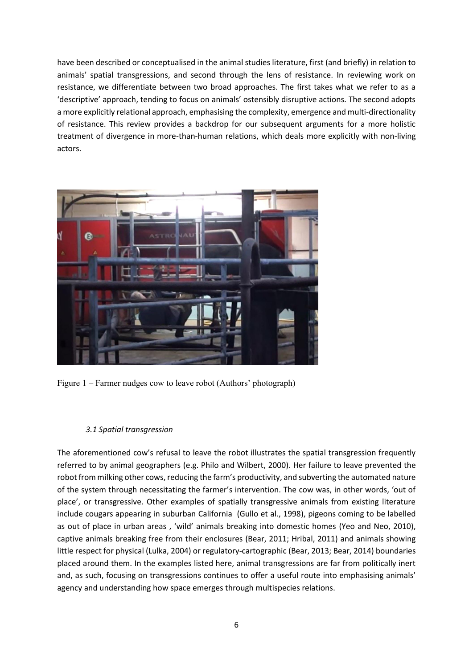have been described or conceptualised in the animal studies literature, first (and briefly) in relation to animals' spatial transgressions, and second through the lens of resistance. In reviewing work on resistance, we differentiate between two broad approaches. The first takes what we refer to as a 'descriptive' approach, tending to focus on animals' ostensibly disruptive actions. The second adopts a more explicitly relational approach, emphasising the complexity, emergence and multi-directionality of resistance. This review provides a backdrop for our subsequent arguments for a more holistic treatment of divergence in more-than-human relations, which deals more explicitly with non-living actors.



Figure 1 – Farmer nudges cow to leave robot (Authors' photograph)

# *3.1 Spatial transgression*

The aforementioned cow's refusal to leave the robot illustrates the spatial transgression frequently referred to by animal geographers (e.g. Philo and Wilbert, 2000). Her failure to leave prevented the robot from milking other cows, reducing the farm's productivity, and subverting the automated nature of the system through necessitating the farmer's intervention. The cow was, in other words, 'out of place', or transgressive. Other examples of spatially transgressive animals from existing literature include cougars appearing in suburban California (Gullo et al., 1998), pigeons coming to be labelled as out of place in urban areas , 'wild' animals breaking into domestic homes (Yeo and Neo, 2010), captive animals breaking free from their enclosures (Bear, 2011; Hribal, 2011) and animals showing little respect for physical (Lulka, 2004) or regulatory-cartographic (Bear, 2013; Bear, 2014) boundaries placed around them. In the examples listed here, animal transgressions are far from politically inert and, as such, focusing on transgressions continues to offer a useful route into emphasising animals' agency and understanding how space emerges through multispecies relations.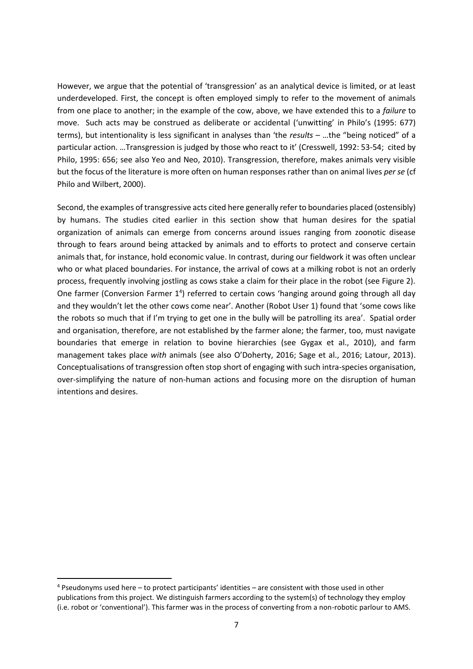However, we argue that the potential of 'transgression' as an analytical device is limited, or at least underdeveloped. First, the concept is often employed simply to refer to the movement of animals from one place to another; in the example of the cow, above, we have extended this to a *failure* to move. Such acts may be construed as deliberate or accidental ('unwitting' in Philo's (1995: 677) terms), but intentionality is less significant in analyses than 'the *results* – …the "being noticed" of a particular action. …Transgression is judged by those who react to it' (Cresswell, 1992: 53-54; cited by Philo, 1995: 656; see also Yeo and Neo, 2010). Transgression, therefore, makes animals very visible but the focus of the literature is more often on human responses rather than on animal lives *per se* (cf Philo and Wilbert, 2000).

Second, the examples of transgressive acts cited here generally refer to boundaries placed (ostensibly) by humans. The studies cited earlier in this section show that human desires for the spatial organization of animals can emerge from concerns around issues ranging from zoonotic disease through to fears around being attacked by animals and to efforts to protect and conserve certain animals that, for instance, hold economic value. In contrast, during our fieldwork it was often unclear who or what placed boundaries. For instance, the arrival of cows at a milking robot is not an orderly process, frequently involving jostling as cows stake a claim for their place in the robot (see Figure 2). One farmer (Conversion Farmer 1<sup>4</sup>) referred to certain cows 'hanging around going through all day and they wouldn't let the other cows come near'. Another (Robot User 1) found that 'some cows like the robots so much that if I'm trying to get one in the bully will be patrolling its area'. Spatial order and organisation, therefore, are not established by the farmer alone; the farmer, too, must navigate boundaries that emerge in relation to bovine hierarchies (see Gygax et al., 2010), and farm management takes place *with* animals (see also O'Doherty, 2016; Sage et al., 2016; Latour, 2013). Conceptualisations of transgression often stop short of engaging with such intra-species organisation, over-simplifying the nature of non-human actions and focusing more on the disruption of human intentions and desires.

.<br>-

<sup>4</sup> Pseudonyms used here – to protect participants' identities – are consistent with those used in other publications from this project. We distinguish farmers according to the system(s) of technology they employ (i.e. robot or 'conventional'). This farmer was in the process of converting from a non-robotic parlour to AMS.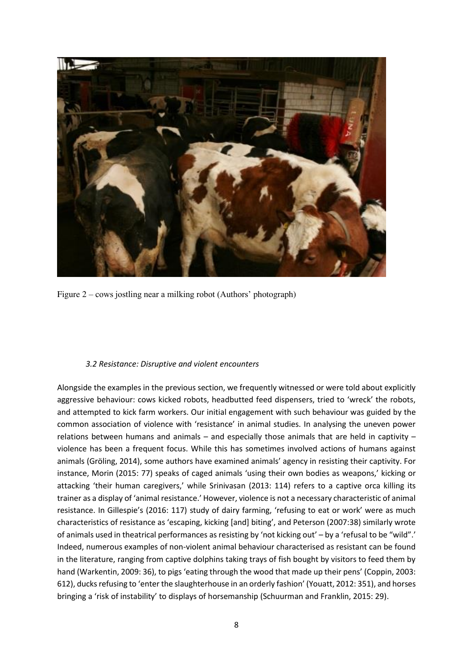

Figure 2 – cows jostling near a milking robot (Authors' photograph)

# *3.2 Resistance: Disruptive and violent encounters*

Alongside the examples in the previous section, we frequently witnessed or were told about explicitly aggressive behaviour: cows kicked robots, headbutted feed dispensers, tried to 'wreck' the robots, and attempted to kick farm workers. Our initial engagement with such behaviour was guided by the common association of violence with 'resistance' in animal studies. In analysing the uneven power relations between humans and animals – and especially those animals that are held in captivity – violence has been a frequent focus. While this has sometimes involved actions of humans against animals (Gröling, 2014), some authors have examined animals' agency in resisting their captivity. For instance, Morin (2015: 77) speaks of caged animals 'using their own bodies as weapons,' kicking or attacking 'their human caregivers,' while Srinivasan (2013: 114) refers to a captive orca killing its trainer as a display of 'animal resistance.' However, violence is not a necessary characteristic of animal resistance. In Gillespie's (2016: 117) study of dairy farming, 'refusing to eat or work' were as much characteristics of resistance as 'escaping, kicking [and] biting', and Peterson (2007:38) similarly wrote of animals used in theatrical performances as resisting by 'not kicking out' – by a 'refusal to be "wild".' Indeed, numerous examples of non-violent animal behaviour characterised as resistant can be found in the literature, ranging from captive dolphins taking trays of fish bought by visitors to feed them by hand (Warkentin, 2009: 36), to pigs 'eating through the wood that made up their pens' (Coppin, 2003: 612), ducks refusing to 'enter the slaughterhouse in an orderly fashion' (Youatt, 2012: 351), and horses bringing a 'risk of instability' to displays of horsemanship (Schuurman and Franklin, 2015: 29).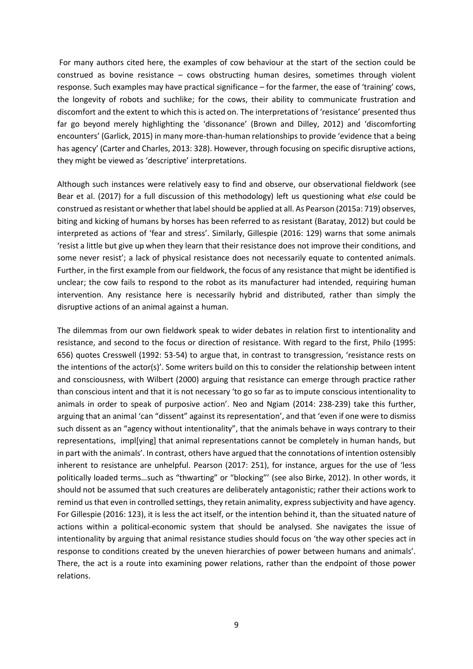For many authors cited here, the examples of cow behaviour at the start of the section could be construed as bovine resistance – cows obstructing human desires, sometimes through violent response. Such examples may have practical significance – for the farmer, the ease of 'training' cows, the longevity of robots and suchlike; for the cows, their ability to communicate frustration and discomfort and the extent to which this is acted on. The interpretations of 'resistance' presented thus far go beyond merely highlighting the 'dissonance' (Brown and Dilley, 2012) and 'discomforting encounters' (Garlick, 2015) in many more-than-human relationships to provide 'evidence that a being has agency' (Carter and Charles, 2013: 328). However, through focusing on specific disruptive actions, they might be viewed as 'descriptive' interpretations.

Although such instances were relatively easy to find and observe, our observational fieldwork (see Bear et al. (2017) for a full discussion of this methodology) left us questioning what *else* could be construed as resistant or whether that label should be applied at all. As Pearson (2015a: 719) observes, biting and kicking of humans by horses has been referred to as resistant (Baratay, 2012) but could be interpreted as actions of 'fear and stress'. Similarly, Gillespie (2016: 129) warns that some animals 'resist a little but give up when they learn that their resistance does not improve their conditions, and some never resist'; a lack of physical resistance does not necessarily equate to contented animals. Further, in the first example from our fieldwork, the focus of any resistance that might be identified is unclear; the cow fails to respond to the robot as its manufacturer had intended, requiring human intervention. Any resistance here is necessarily hybrid and distributed, rather than simply the disruptive actions of an animal against a human.

The dilemmas from our own fieldwork speak to wider debates in relation first to intentionality and resistance, and second to the focus or direction of resistance. With regard to the first, Philo (1995: 656) quotes Cresswell (1992: 53-54) to argue that, in contrast to transgression, 'resistance rests on the intentions of the actor(s)'. Some writers build on this to consider the relationship between intent and consciousness, with Wilbert (2000) arguing that resistance can emerge through practice rather than conscious intent and that it is not necessary 'to go so far as to impute conscious intentionality to animals in order to speak of purposive action'. Neo and Ngiam (2014: 238-239) take this further, arguing that an animal 'can "dissent" against its representation', and that 'even if one were to dismiss such dissent as an "agency without intentionality", that the animals behave in ways contrary to their representations, impl[ying] that animal representations cannot be completely in human hands, but in part with the animals'. In contrast, others have argued that the connotations of intention ostensibly inherent to resistance are unhelpful. Pearson (2017: 251), for instance, argues for the use of 'less politically loaded terms…such as "thwarting" or "blocking"' (see also Birke, 2012). In other words, it should not be assumed that such creatures are deliberately antagonistic; rather their actions work to remind us that even in controlled settings, they retain animality, express subjectivity and have agency. For Gillespie (2016: 123), it is less the act itself, or the intention behind it, than the situated nature of actions within a political-economic system that should be analysed. She navigates the issue of intentionality by arguing that animal resistance studies should focus on 'the way other species act in response to conditions created by the uneven hierarchies of power between humans and animals'. There, the act is a route into examining power relations, rather than the endpoint of those power relations.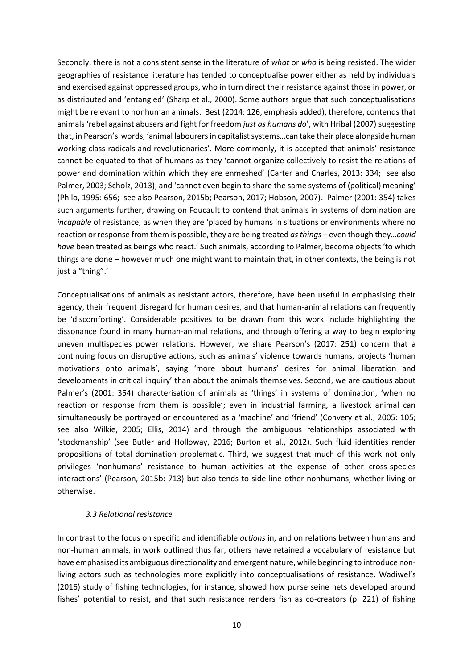Secondly, there is not a consistent sense in the literature of *what* or *who* is being resisted. The wider geographies of resistance literature has tended to conceptualise power either as held by individuals and exercised against oppressed groups, who in turn direct their resistance against those in power, or as distributed and 'entangled' (Sharp et al., 2000). Some authors argue that such conceptualisations might be relevant to nonhuman animals. Best (2014: 126, emphasis added), therefore, contends that animals 'rebel against abusers and fight for freedom *just as humans do*', with Hribal (2007) suggesting that, in Pearson's words, 'animal labourers in capitalist systems…can take their place alongside human working-class radicals and revolutionaries'. More commonly, it is accepted that animals' resistance cannot be equated to that of humans as they 'cannot organize collectively to resist the relations of power and domination within which they are enmeshed' (Carter and Charles, 2013: 334; see also Palmer, 2003; Scholz, 2013), and 'cannot even begin to share the same systems of (political) meaning' (Philo, 1995: 656; see also Pearson, 2015b; Pearson, 2017; Hobson, 2007). Palmer (2001: 354) takes such arguments further, drawing on Foucault to contend that animals in systems of domination are *incapable* of resistance, as when they are 'placed by humans in situations or environments where no reaction or response from them is possible, they are being treated *as things* – even though they…*could have* been treated as beings who react.' Such animals, according to Palmer, become objects 'to which things are done – however much one might want to maintain that, in other contexts, the being is not just a "thing".'

Conceptualisations of animals as resistant actors, therefore, have been useful in emphasising their agency, their frequent disregard for human desires, and that human-animal relations can frequently be 'discomforting'. Considerable positives to be drawn from this work include highlighting the dissonance found in many human-animal relations, and through offering a way to begin exploring uneven multispecies power relations. However, we share Pearson's (2017: 251) concern that a continuing focus on disruptive actions, such as animals' violence towards humans, projects 'human motivations onto animals', saying 'more about humans' desires for animal liberation and developments in critical inquiry' than about the animals themselves. Second, we are cautious about Palmer's (2001: 354) characterisation of animals as 'things' in systems of domination, 'when no reaction or response from them is possible'; even in industrial farming, a livestock animal can simultaneously be portrayed or encountered as a 'machine' and 'friend' (Convery et al., 2005: 105; see also Wilkie, 2005; Ellis, 2014) and through the ambiguous relationships associated with 'stockmanship' (see Butler and Holloway, 2016; Burton et al., 2012). Such fluid identities render propositions of total domination problematic. Third, we suggest that much of this work not only privileges 'nonhumans' resistance to human activities at the expense of other cross-species interactions' (Pearson, 2015b: 713) but also tends to side-line other nonhumans, whether living or otherwise.

# *3.3 Relational resistance*

In contrast to the focus on specific and identifiable *actions* in, and on relations between humans and non-human animals, in work outlined thus far, others have retained a vocabulary of resistance but have emphasised its ambiguous directionality and emergent nature, while beginning to introduce nonliving actors such as technologies more explicitly into conceptualisations of resistance. Wadiwel's (2016) study of fishing technologies, for instance, showed how purse seine nets developed around fishes' potential to resist, and that such resistance renders fish as co-creators (p. 221) of fishing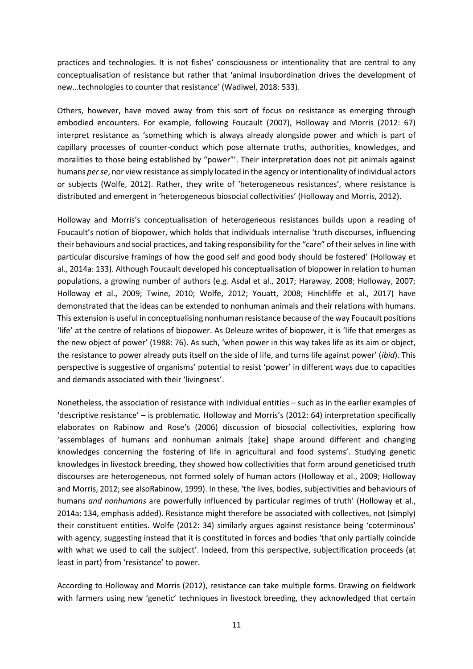practices and technologies. It is not fishes' consciousness or intentionality that are central to any conceptualisation of resistance but rather that 'animal insubordination drives the development of new…technologies to counter that resistance' (Wadiwel, 2018: 533).

Others, however, have moved away from this sort of focus on resistance as emerging through embodied encounters. For example, following Foucault (2007), Holloway and Morris (2012: 67) interpret resistance as 'something which is always already alongside power and which is part of capillary processes of counter-conduct which pose alternate truths, authorities, knowledges, and moralities to those being established by "power"'. Their interpretation does not pit animals against humans *per se*, nor view resistance as simply located in the agency or intentionality of individual actors or subjects (Wolfe, 2012). Rather, they write of 'heterogeneous resistances', where resistance is distributed and emergent in 'heterogeneous biosocial collectivities' (Holloway and Morris, 2012).

Holloway and Morris's conceptualisation of heterogeneous resistances builds upon a reading of Foucault's notion of biopower, which holds that individuals internalise 'truth discourses, influencing their behaviours and social practices, and taking responsibility for the "care" of their selves in line with particular discursive framings of how the good self and good body should be fostered' (Holloway et al., 2014a: 133). Although Foucault developed his conceptualisation of biopower in relation to human populations, a growing number of authors (e.g. Asdal et al., 2017; Haraway, 2008; Holloway, 2007; Holloway et al., 2009; Twine, 2010; Wolfe, 2012; Youatt, 2008; Hinchliffe et al., 2017) have demonstrated that the ideas can be extended to nonhuman animals and their relations with humans. This extension is useful in conceptualising nonhuman resistance because of the way Foucault positions 'life' at the centre of relations of biopower. As Deleuze writes of biopower, it is 'life that emerges as the new object of power' (1988: 76). As such, 'when power in this way takes life as its aim or object, the resistance to power already puts itself on the side of life, and turns life against power' (*ibid*). This perspective is suggestive of organisms' potential to resist 'power' in different ways due to capacities and demands associated with their 'livingness'.

Nonetheless, the association of resistance with individual entities – such as in the earlier examples of 'descriptive resistance' – is problematic. Holloway and Morris's (2012: 64) interpretation specifically elaborates on Rabinow and Rose's (2006) discussion of biosocial collectivities, exploring how 'assemblages of humans and nonhuman animals [take] shape around different and changing knowledges concerning the fostering of life in agricultural and food systems'. Studying genetic knowledges in livestock breeding, they showed how collectivities that form around geneticised truth discourses are heterogeneous, not formed solely of human actors (Holloway et al., 2009; Holloway and Morris, 2012; see alsoRabinow, 1999). In these, 'the lives, bodies, subjectivities and behaviours of humans *and nonhumans* are powerfully influenced by particular regimes of truth' (Holloway et al., 2014a: 134, emphasis added). Resistance might therefore be associated with collectives, not (simply) their constituent entities. Wolfe (2012: 34) similarly argues against resistance being 'coterminous' with agency, suggesting instead that it is constituted in forces and bodies 'that only partially coincide with what we used to call the subject'. Indeed, from this perspective, subjectification proceeds (at least in part) from 'resistance' to power.

According to Holloway and Morris (2012), resistance can take multiple forms. Drawing on fieldwork with farmers using new 'genetic' techniques in livestock breeding, they acknowledged that certain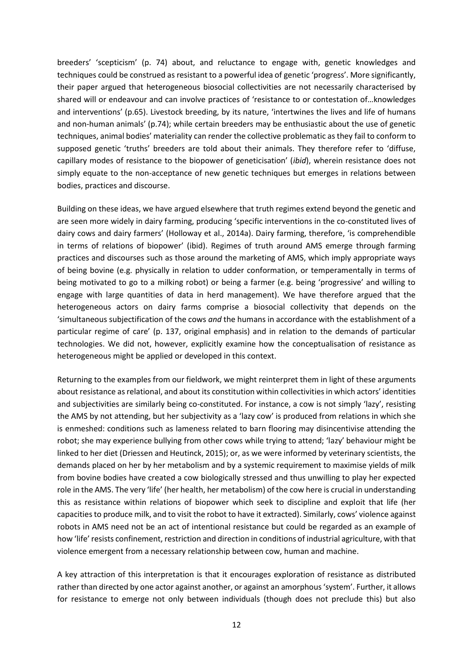breeders' 'scepticism' (p. 74) about, and reluctance to engage with, genetic knowledges and techniques could be construed as resistant to a powerful idea of genetic 'progress'. More significantly, their paper argued that heterogeneous biosocial collectivities are not necessarily characterised by shared will or endeavour and can involve practices of 'resistance to or contestation of…knowledges and interventions' (p.65). Livestock breeding, by its nature, 'intertwines the lives and life of humans and non-human animals' (p.74); while certain breeders may be enthusiastic about the use of genetic techniques, animal bodies' materiality can render the collective problematic as they fail to conform to supposed genetic 'truths' breeders are told about their animals. They therefore refer to 'diffuse, capillary modes of resistance to the biopower of geneticisation' (*ibid*), wherein resistance does not simply equate to the non-acceptance of new genetic techniques but emerges in relations between bodies, practices and discourse.

Building on these ideas, we have argued elsewhere that truth regimes extend beyond the genetic and are seen more widely in dairy farming, producing 'specific interventions in the co-constituted lives of dairy cows and dairy farmers' (Holloway et al., 2014a). Dairy farming, therefore, 'is comprehendible in terms of relations of biopower' (ibid). Regimes of truth around AMS emerge through farming practices and discourses such as those around the marketing of AMS, which imply appropriate ways of being bovine (e.g. physically in relation to udder conformation, or temperamentally in terms of being motivated to go to a milking robot) or being a farmer (e.g. being 'progressive' and willing to engage with large quantities of data in herd management). We have therefore argued that the heterogeneous actors on dairy farms comprise a biosocial collectivity that depends on the 'simultaneous subjectification of the cows *and* the humans in accordance with the establishment of a particular regime of care' (p. 137, original emphasis) and in relation to the demands of particular technologies. We did not, however, explicitly examine how the conceptualisation of resistance as heterogeneous might be applied or developed in this context.

Returning to the examples from our fieldwork, we might reinterpret them in light of these arguments about resistance as relational, and about its constitution within collectivities in which actors' identities and subjectivities are similarly being co-constituted. For instance, a cow is not simply 'lazy', resisting the AMS by not attending, but her subjectivity as a 'lazy cow' is produced from relations in which she is enmeshed: conditions such as lameness related to barn flooring may disincentivise attending the robot; she may experience bullying from other cows while trying to attend; 'lazy' behaviour might be linked to her diet (Driessen and Heutinck, 2015); or, as we were informed by veterinary scientists, the demands placed on her by her metabolism and by a systemic requirement to maximise yields of milk from bovine bodies have created a cow biologically stressed and thus unwilling to play her expected role in the AMS. The very 'life' (her health, her metabolism) of the cow here is crucial in understanding this as resistance within relations of biopower which seek to discipline and exploit that life (her capacities to produce milk, and to visit the robot to have it extracted). Similarly, cows' violence against robots in AMS need not be an act of intentional resistance but could be regarded as an example of how 'life' resists confinement, restriction and direction in conditions of industrial agriculture, with that violence emergent from a necessary relationship between cow, human and machine.

A key attraction of this interpretation is that it encourages exploration of resistance as distributed rather than directed by one actor against another, or against an amorphous 'system'. Further, it allows for resistance to emerge not only between individuals (though does not preclude this) but also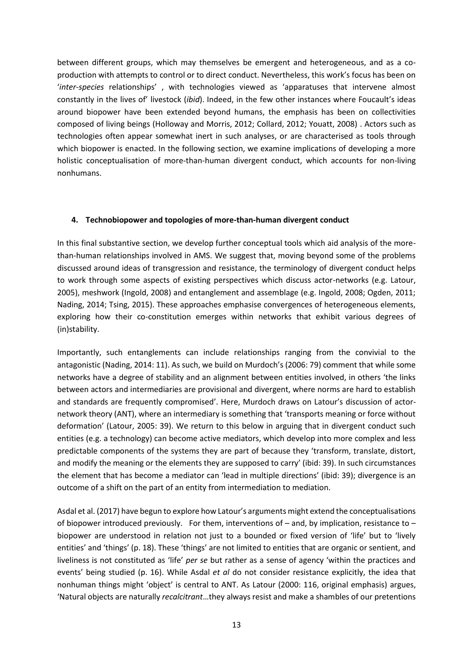between different groups, which may themselves be emergent and heterogeneous, and as a coproduction with attempts to control or to direct conduct. Nevertheless, this work's focus has been on '*inter-species* relationships' , with technologies viewed as 'apparatuses that intervene almost constantly in the lives of' livestock (*ibid*). Indeed, in the few other instances where Foucault's ideas around biopower have been extended beyond humans, the emphasis has been on collectivities composed of living beings (Holloway and Morris, 2012; Collard, 2012; Youatt, 2008) . Actors such as technologies often appear somewhat inert in such analyses, or are characterised as tools through which biopower is enacted. In the following section, we examine implications of developing a more holistic conceptualisation of more-than-human divergent conduct, which accounts for non-living nonhumans.

# **4. Technobiopower and topologies of more-than-human divergent conduct**

In this final substantive section, we develop further conceptual tools which aid analysis of the morethan-human relationships involved in AMS. We suggest that, moving beyond some of the problems discussed around ideas of transgression and resistance, the terminology of divergent conduct helps to work through some aspects of existing perspectives which discuss actor-networks (e.g. Latour, 2005), meshwork (Ingold, 2008) and entanglement and assemblage (e.g. Ingold, 2008; Ogden, 2011; Nading, 2014; Tsing, 2015). These approaches emphasise convergences of heterogeneous elements, exploring how their co-constitution emerges within networks that exhibit various degrees of (in)stability.

Importantly, such entanglements can include relationships ranging from the convivial to the antagonistic (Nading, 2014: 11). As such, we build on Murdoch's (2006: 79) comment that while some networks have a degree of stability and an alignment between entities involved, in others 'the links between actors and intermediaries are provisional and divergent, where norms are hard to establish and standards are frequently compromised'. Here, Murdoch draws on Latour's discussion of actornetwork theory (ANT), where an intermediary is something that 'transports meaning or force without deformation' (Latour, 2005: 39). We return to this below in arguing that in divergent conduct such entities (e.g. a technology) can become active mediators, which develop into more complex and less predictable components of the systems they are part of because they 'transform, translate, distort, and modify the meaning or the elements they are supposed to carry' (ibid: 39). In such circumstances the element that has become a mediator can 'lead in multiple directions' (ibid: 39); divergence is an outcome of a shift on the part of an entity from intermediation to mediation.

Asdal et al. (2017) have begun to explore how Latour's arguments might extend the conceptualisations of biopower introduced previously. For them, interventions of  $-$  and, by implication, resistance to  $$ biopower are understood in relation not just to a bounded or fixed version of 'life' but to 'lively entities' and 'things' (p. 18). These 'things' are not limited to entities that are organic or sentient, and liveliness is not constituted as 'life' *per se* but rather as a sense of agency 'within the practices and events' being studied (p. 16). While Asdal *et al* do not consider resistance explicitly, the idea that nonhuman things might 'object' is central to ANT. As Latour (2000: 116, original emphasis) argues, 'Natural objects are naturally *recalcitrant*…they always resist and make a shambles of our pretentions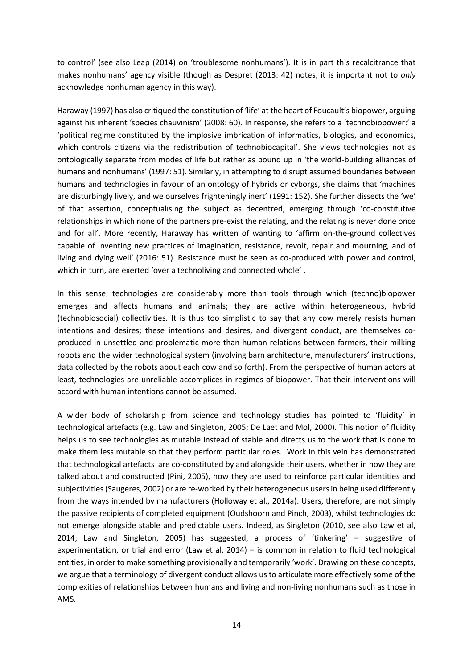to control' (see also Leap (2014) on 'troublesome nonhumans'). It is in part this recalcitrance that makes nonhumans' agency visible (though as Despret (2013: 42) notes, it is important not to *only* acknowledge nonhuman agency in this way).

Haraway (1997) has also critiqued the constitution of 'life' at the heart of Foucault's biopower, arguing against his inherent 'species chauvinism' (2008: 60). In response, she refers to a 'technobiopower:' a 'political regime constituted by the implosive imbrication of informatics, biologics, and economics, which controls citizens via the redistribution of technobiocapital'. She views technologies not as ontologically separate from modes of life but rather as bound up in 'the world-building alliances of humans and nonhumans' (1997: 51). Similarly, in attempting to disrupt assumed boundaries between humans and technologies in favour of an ontology of hybrids or cyborgs, she claims that 'machines are disturbingly lively, and we ourselves frighteningly inert' (1991: 152). She further dissects the 'we' of that assertion, conceptualising the subject as decentred, emerging through 'co-constitutive relationships in which none of the partners pre-exist the relating, and the relating is never done once and for all'. More recently, Haraway has written of wanting to 'affirm on-the-ground collectives capable of inventing new practices of imagination, resistance, revolt, repair and mourning, and of living and dying well' (2016: 51). Resistance must be seen as co-produced with power and control, which in turn, are exerted 'over a technoliving and connected whole' .

In this sense, technologies are considerably more than tools through which (techno)biopower emerges and affects humans and animals; they are active within heterogeneous, hybrid (technobiosocial) collectivities. It is thus too simplistic to say that any cow merely resists human intentions and desires; these intentions and desires, and divergent conduct, are themselves coproduced in unsettled and problematic more-than-human relations between farmers, their milking robots and the wider technological system (involving barn architecture, manufacturers' instructions, data collected by the robots about each cow and so forth). From the perspective of human actors at least, technologies are unreliable accomplices in regimes of biopower. That their interventions will accord with human intentions cannot be assumed.

A wider body of scholarship from science and technology studies has pointed to 'fluidity' in technological artefacts (e.g. Law and Singleton, 2005; De Laet and Mol, 2000). This notion of fluidity helps us to see technologies as mutable instead of stable and directs us to the work that is done to make them less mutable so that they perform particular roles. Work in this vein has demonstrated that technological artefacts are co-constituted by and alongside their users, whether in how they are talked about and constructed (Pini, 2005), how they are used to reinforce particular identities and subjectivities (Saugeres, 2002) or are re-worked by their heterogeneous users in being used differently from the ways intended by manufacturers (Holloway et al., 2014a). Users, therefore, are not simply the passive recipients of completed equipment (Oudshoorn and Pinch, 2003), whilst technologies do not emerge alongside stable and predictable users. Indeed, as Singleton (2010, see also Law et al, 2014; Law and Singleton, 2005) has suggested, a process of 'tinkering' – suggestive of experimentation, or trial and error (Law et al, 2014) – is common in relation to fluid technological entities, in order to make something provisionally and temporarily 'work'. Drawing on these concepts, we argue that a terminology of divergent conduct allows us to articulate more effectively some of the complexities of relationships between humans and living and non-living nonhumans such as those in AMS.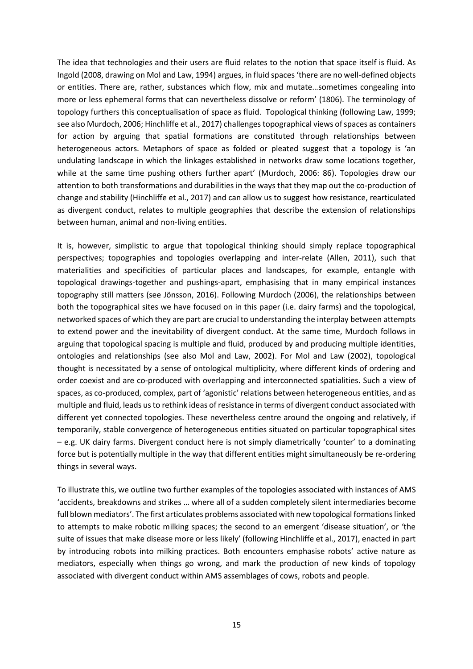The idea that technologies and their users are fluid relates to the notion that space itself is fluid. As Ingold (2008, drawing on Mol and Law, 1994) argues, in fluid spaces 'there are no well-defined objects or entities. There are, rather, substances which flow, mix and mutate…sometimes congealing into more or less ephemeral forms that can nevertheless dissolve or reform' (1806). The terminology of topology furthers this conceptualisation of space as fluid. Topological thinking (following Law, 1999; see also Murdoch, 2006; Hinchliffe et al., 2017) challenges topographical views of spaces as containers for action by arguing that spatial formations are constituted through relationships between heterogeneous actors. Metaphors of space as folded or pleated suggest that a topology is 'an undulating landscape in which the linkages established in networks draw some locations together, while at the same time pushing others further apart' (Murdoch, 2006: 86). Topologies draw our attention to both transformations and durabilities in the ways that they map out the co-production of change and stability (Hinchliffe et al., 2017) and can allow us to suggest how resistance, rearticulated as divergent conduct, relates to multiple geographies that describe the extension of relationships between human, animal and non-living entities.

It is, however, simplistic to argue that topological thinking should simply replace topographical perspectives; topographies and topologies overlapping and inter-relate (Allen, 2011), such that materialities and specificities of particular places and landscapes, for example, entangle with topological drawings-together and pushings-apart, emphasising that in many empirical instances topography still matters (see Jönsson, 2016). Following Murdoch (2006), the relationships between both the topographical sites we have focused on in this paper (i.e. dairy farms) and the topological, networked spaces of which they are part are crucial to understanding the interplay between attempts to extend power and the inevitability of divergent conduct. At the same time, Murdoch follows in arguing that topological spacing is multiple and fluid, produced by and producing multiple identities, ontologies and relationships (see also Mol and Law, 2002). For Mol and Law (2002), topological thought is necessitated by a sense of ontological multiplicity, where different kinds of ordering and order coexist and are co-produced with overlapping and interconnected spatialities. Such a view of spaces, as co-produced, complex, part of 'agonistic' relations between heterogeneous entities, and as multiple and fluid, leads us to rethink ideas of resistance in terms of divergent conduct associated with different yet connected topologies. These nevertheless centre around the ongoing and relatively, if temporarily, stable convergence of heterogeneous entities situated on particular topographical sites – e.g. UK dairy farms. Divergent conduct here is not simply diametrically 'counter' to a dominating force but is potentially multiple in the way that different entities might simultaneously be re-ordering things in several ways.

To illustrate this, we outline two further examples of the topologies associated with instances of AMS 'accidents, breakdowns and strikes … where all of a sudden completely silent intermediaries become full blown mediators'. The first articulates problems associated with new topological formations linked to attempts to make robotic milking spaces; the second to an emergent 'disease situation', or 'the suite of issues that make disease more or less likely' (following Hinchliffe et al., 2017), enacted in part by introducing robots into milking practices. Both encounters emphasise robots' active nature as mediators, especially when things go wrong, and mark the production of new kinds of topology associated with divergent conduct within AMS assemblages of cows, robots and people.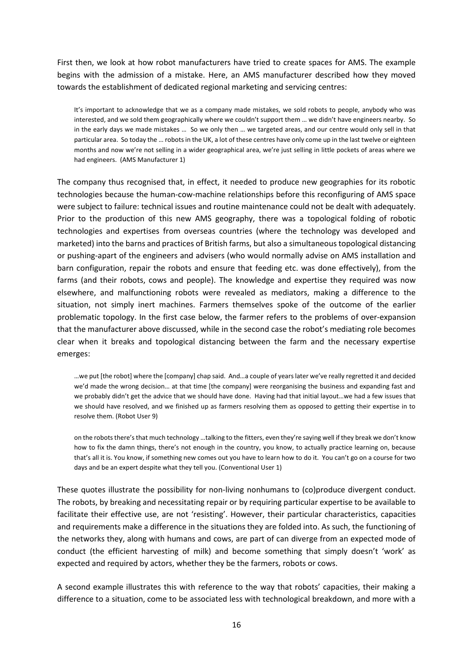First then, we look at how robot manufacturers have tried to create spaces for AMS. The example begins with the admission of a mistake. Here, an AMS manufacturer described how they moved towards the establishment of dedicated regional marketing and servicing centres:

It's important to acknowledge that we as a company made mistakes, we sold robots to people, anybody who was interested, and we sold them geographically where we couldn't support them … we didn't have engineers nearby. So in the early days we made mistakes … So we only then … we targeted areas, and our centre would only sell in that particular area. So today the … robots in the UK, a lot of these centres have only come up in the last twelve or eighteen months and now we're not selling in a wider geographical area, we're just selling in little pockets of areas where we had engineers. (AMS Manufacturer 1)

The company thus recognised that, in effect, it needed to produce new geographies for its robotic technologies because the human-cow-machine relationships before this reconfiguring of AMS space were subject to failure: technical issues and routine maintenance could not be dealt with adequately. Prior to the production of this new AMS geography, there was a topological folding of robotic technologies and expertises from overseas countries (where the technology was developed and marketed) into the barns and practices of British farms, but also a simultaneous topological distancing or pushing-apart of the engineers and advisers (who would normally advise on AMS installation and barn configuration, repair the robots and ensure that feeding etc. was done effectively), from the farms (and their robots, cows and people). The knowledge and expertise they required was now elsewhere, and malfunctioning robots were revealed as mediators, making a difference to the situation, not simply inert machines. Farmers themselves spoke of the outcome of the earlier problematic topology. In the first case below, the farmer refers to the problems of over-expansion that the manufacturer above discussed, while in the second case the robot's mediating role becomes clear when it breaks and topological distancing between the farm and the necessary expertise emerges:

…we put [the robot] where the [company] chap said. And…a couple of years later we've really regretted it and decided we'd made the wrong decision… at that time [the company] were reorganising the business and expanding fast and we probably didn't get the advice that we should have done. Having had that initial layout…we had a few issues that we should have resolved, and we finished up as farmers resolving them as opposed to getting their expertise in to resolve them. (Robot User 9)

on the robots there's that much technology …talking to the fitters, even they're saying well if they break we don't know how to fix the damn things, there's not enough in the country, you know, to actually practice learning on, because that's all it is. You know, if something new comes out you have to learn how to do it. You can't go on a course for two days and be an expert despite what they tell you. (Conventional User 1)

These quotes illustrate the possibility for non-living nonhumans to (co)produce divergent conduct. The robots, by breaking and necessitating repair or by requiring particular expertise to be available to facilitate their effective use, are not 'resisting'. However, their particular characteristics, capacities and requirements make a difference in the situations they are folded into. As such, the functioning of the networks they, along with humans and cows, are part of can diverge from an expected mode of conduct (the efficient harvesting of milk) and become something that simply doesn't 'work' as expected and required by actors, whether they be the farmers, robots or cows.

A second example illustrates this with reference to the way that robots' capacities, their making a difference to a situation, come to be associated less with technological breakdown, and more with a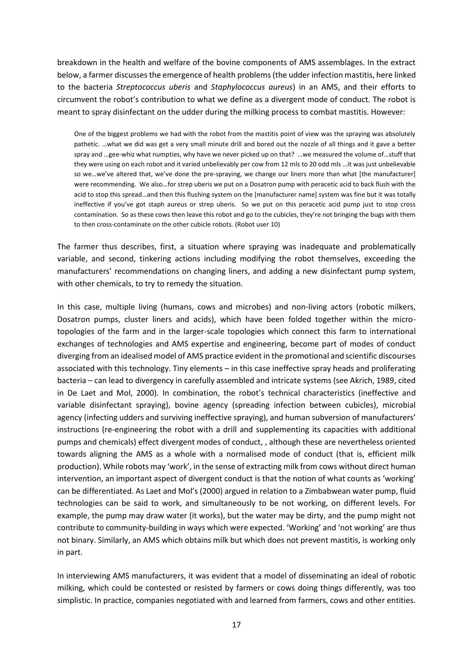breakdown in the health and welfare of the bovine components of AMS assemblages. In the extract below, a farmer discusses the emergence of health problems (the udder infection mastitis, here linked to the bacteria *Streptococcus uberis* and *Staphylococcus aureus*) in an AMS, and their efforts to circumvent the robot's contribution to what we define as a divergent mode of conduct. The robot is meant to spray disinfectant on the udder during the milking process to combat mastitis. However:

One of the biggest problems we had with the robot from the mastitis point of view was the spraying was absolutely pathetic. …what we did was get a very small minute drill and bored out the nozzle of all things and it gave a better spray and …gee-whiz what numpties, why have we never picked up on that? …we measured the volume of…stuff that they were using on each robot and it varied unbelievably per cow from 12 mls to 20 odd mls …it was just unbelievable so we…we've altered that, we've done the pre-spraying, we change our liners more than what [the manufacturer] were recommending. We also…for strep uberis we put on a Dosatron pump with peracetic acid to back flush with the acid to stop this spread…and then this flushing system on the [manufacturer name] system was fine but it was totally ineffective if you've got staph aureus or strep uberis. So we put on this peracetic acid pump just to stop cross contamination. So as these cows then leave this robot and go to the cubicles, they're not bringing the bugs with them to then cross-contaminate on the other cubicle robots. (Robot user 10)

The farmer thus describes, first, a situation where spraying was inadequate and problematically variable, and second, tinkering actions including modifying the robot themselves, exceeding the manufacturers' recommendations on changing liners, and adding a new disinfectant pump system, with other chemicals, to try to remedy the situation.

In this case, multiple living (humans, cows and microbes) and non-living actors (robotic milkers, Dosatron pumps, cluster liners and acids), which have been folded together within the microtopologies of the farm and in the larger-scale topologies which connect this farm to international exchanges of technologies and AMS expertise and engineering, become part of modes of conduct diverging from an idealised model of AMS practice evident in the promotional and scientific discourses associated with this technology. Tiny elements – in this case ineffective spray heads and proliferating bacteria – can lead to divergency in carefully assembled and intricate systems (see Akrich, 1989, cited in De Laet and Mol, 2000). In combination, the robot's technical characteristics (ineffective and variable disinfectant spraying), bovine agency (spreading infection between cubicles), microbial agency (infecting udders and surviving ineffective spraying), and human subversion of manufacturers' instructions (re-engineering the robot with a drill and supplementing its capacities with additional pumps and chemicals) effect divergent modes of conduct, , although these are nevertheless oriented towards aligning the AMS as a whole with a normalised mode of conduct (that is, efficient milk production). While robots may 'work', in the sense of extracting milk from cows without direct human intervention, an important aspect of divergent conduct is that the notion of what counts as 'working' can be differentiated. As Laet and Mol's (2000) argued in relation to a Zimbabwean water pump, fluid technologies can be said to work, and simultaneously to be not working, on different levels. For example, the pump may draw water (it works), but the water may be dirty, and the pump might not contribute to community-building in ways which were expected. 'Working' and 'not working' are thus not binary. Similarly, an AMS which obtains milk but which does not prevent mastitis, is working only in part.

In interviewing AMS manufacturers, it was evident that a model of disseminating an ideal of robotic milking, which could be contested or resisted by farmers or cows doing things differently, was too simplistic. In practice, companies negotiated with and learned from farmers, cows and other entities.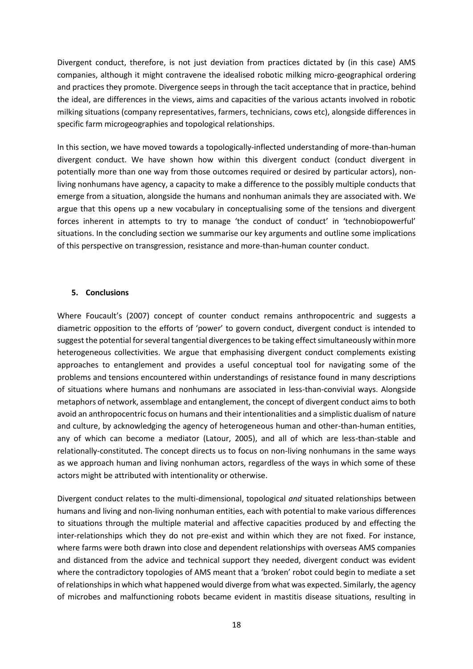Divergent conduct, therefore, is not just deviation from practices dictated by (in this case) AMS companies, although it might contravene the idealised robotic milking micro-geographical ordering and practices they promote. Divergence seeps in through the tacit acceptance that in practice, behind the ideal, are differences in the views, aims and capacities of the various actants involved in robotic milking situations (company representatives, farmers, technicians, cows etc), alongside differences in specific farm microgeographies and topological relationships.

In this section, we have moved towards a topologically-inflected understanding of more-than-human divergent conduct. We have shown how within this divergent conduct (conduct divergent in potentially more than one way from those outcomes required or desired by particular actors), nonliving nonhumans have agency, a capacity to make a difference to the possibly multiple conducts that emerge from a situation, alongside the humans and nonhuman animals they are associated with. We argue that this opens up a new vocabulary in conceptualising some of the tensions and divergent forces inherent in attempts to try to manage 'the conduct of conduct' in 'technobiopowerful' situations. In the concluding section we summarise our key arguments and outline some implications of this perspective on transgression, resistance and more-than-human counter conduct.

# **5. Conclusions**

Where Foucault's (2007) concept of counter conduct remains anthropocentric and suggests a diametric opposition to the efforts of 'power' to govern conduct, divergent conduct is intended to suggest the potential for several tangential divergences to be taking effect simultaneously within more heterogeneous collectivities. We argue that emphasising divergent conduct complements existing approaches to entanglement and provides a useful conceptual tool for navigating some of the problems and tensions encountered within understandings of resistance found in many descriptions of situations where humans and nonhumans are associated in less-than-convivial ways. Alongside metaphors of network, assemblage and entanglement, the concept of divergent conduct aims to both avoid an anthropocentric focus on humans and their intentionalities and a simplistic dualism of nature and culture, by acknowledging the agency of heterogeneous human and other-than-human entities, any of which can become a mediator (Latour, 2005), and all of which are less-than-stable and relationally-constituted. The concept directs us to focus on non-living nonhumans in the same ways as we approach human and living nonhuman actors, regardless of the ways in which some of these actors might be attributed with intentionality or otherwise.

Divergent conduct relates to the multi-dimensional, topological *and* situated relationships between humans and living and non-living nonhuman entities, each with potential to make various differences to situations through the multiple material and affective capacities produced by and effecting the inter-relationships which they do not pre-exist and within which they are not fixed. For instance, where farms were both drawn into close and dependent relationships with overseas AMS companies and distanced from the advice and technical support they needed, divergent conduct was evident where the contradictory topologies of AMS meant that a 'broken' robot could begin to mediate a set of relationships in which what happened would diverge from what was expected. Similarly, the agency of microbes and malfunctioning robots became evident in mastitis disease situations, resulting in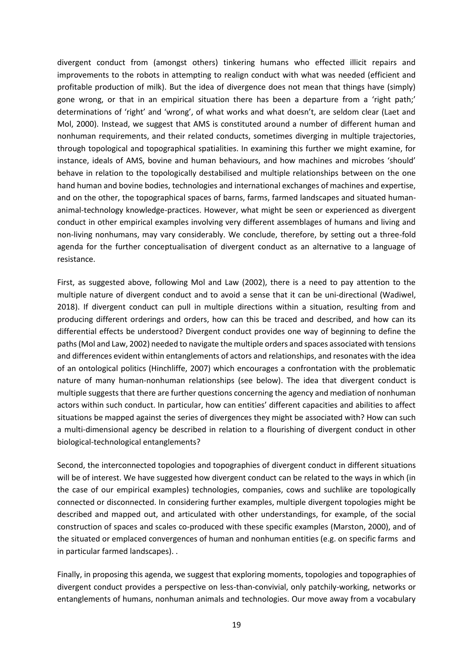divergent conduct from (amongst others) tinkering humans who effected illicit repairs and improvements to the robots in attempting to realign conduct with what was needed (efficient and profitable production of milk). But the idea of divergence does not mean that things have (simply) gone wrong, or that in an empirical situation there has been a departure from a 'right path;' determinations of 'right' and 'wrong', of what works and what doesn't, are seldom clear (Laet and Mol, 2000). Instead, we suggest that AMS is constituted around a number of different human and nonhuman requirements, and their related conducts, sometimes diverging in multiple trajectories, through topological and topographical spatialities. In examining this further we might examine, for instance, ideals of AMS, bovine and human behaviours, and how machines and microbes 'should' behave in relation to the topologically destabilised and multiple relationships between on the one hand human and bovine bodies, technologies and international exchanges of machines and expertise, and on the other, the topographical spaces of barns, farms, farmed landscapes and situated humananimal-technology knowledge-practices. However, what might be seen or experienced as divergent conduct in other empirical examples involving very different assemblages of humans and living and non-living nonhumans, may vary considerably. We conclude, therefore, by setting out a three-fold agenda for the further conceptualisation of divergent conduct as an alternative to a language of resistance.

First, as suggested above, following Mol and Law (2002), there is a need to pay attention to the multiple nature of divergent conduct and to avoid a sense that it can be uni-directional (Wadiwel, 2018). If divergent conduct can pull in multiple directions within a situation, resulting from and producing different orderings and orders, how can this be traced and described, and how can its differential effects be understood? Divergent conduct provides one way of beginning to define the paths (Mol and Law, 2002) needed to navigate the multiple orders and spaces associated with tensions and differences evident within entanglements of actors and relationships, and resonates with the idea of an ontological politics (Hinchliffe, 2007) which encourages a confrontation with the problematic nature of many human-nonhuman relationships (see below). The idea that divergent conduct is multiple suggests that there are further questions concerning the agency and mediation of nonhuman actors within such conduct. In particular, how can entities' different capacities and abilities to affect situations be mapped against the series of divergences they might be associated with? How can such a multi-dimensional agency be described in relation to a flourishing of divergent conduct in other biological-technological entanglements?

Second, the interconnected topologies and topographies of divergent conduct in different situations will be of interest. We have suggested how divergent conduct can be related to the ways in which (in the case of our empirical examples) technologies, companies, cows and suchlike are topologically connected or disconnected. In considering further examples, multiple divergent topologies might be described and mapped out, and articulated with other understandings, for example, of the social construction of spaces and scales co-produced with these specific examples (Marston, 2000), and of the situated or emplaced convergences of human and nonhuman entities (e.g. on specific farms and in particular farmed landscapes). .

Finally, in proposing this agenda, we suggest that exploring moments, topologies and topographies of divergent conduct provides a perspective on less-than-convivial, only patchily-working, networks or entanglements of humans, nonhuman animals and technologies. Our move away from a vocabulary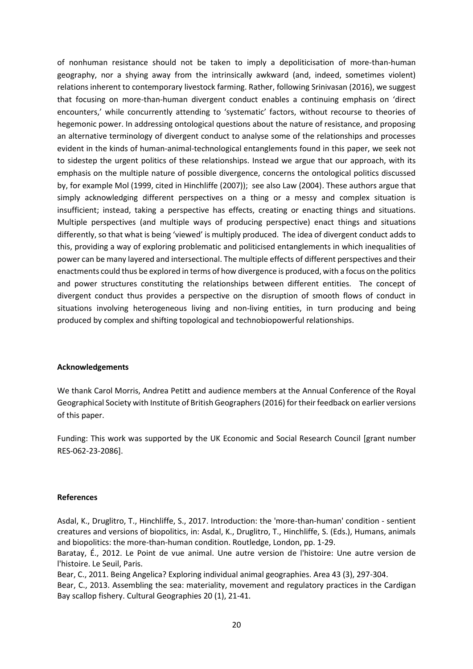of nonhuman resistance should not be taken to imply a depoliticisation of more-than-human geography, nor a shying away from the intrinsically awkward (and, indeed, sometimes violent) relations inherent to contemporary livestock farming. Rather, following Srinivasan (2016), we suggest that focusing on more-than-human divergent conduct enables a continuing emphasis on 'direct encounters,' while concurrently attending to 'systematic' factors, without recourse to theories of hegemonic power. In addressing ontological questions about the nature of resistance, and proposing an alternative terminology of divergent conduct to analyse some of the relationships and processes evident in the kinds of human-animal-technological entanglements found in this paper, we seek not to sidestep the urgent politics of these relationships. Instead we argue that our approach, with its emphasis on the multiple nature of possible divergence, concerns the ontological politics discussed by, for example Mol (1999, cited in Hinchliffe (2007)); see also Law (2004). These authors argue that simply acknowledging different perspectives on a thing or a messy and complex situation is insufficient; instead, taking a perspective has effects, creating or enacting things and situations. Multiple perspectives (and multiple ways of producing perspective) enact things and situations differently, so that what is being 'viewed' is multiply produced. The idea of divergent conduct adds to this, providing a way of exploring problematic and politicised entanglements in which inequalities of power can be many layered and intersectional. The multiple effects of different perspectives and their enactments could thus be explored in terms of how divergence is produced, with a focus on the politics and power structures constituting the relationships between different entities. The concept of divergent conduct thus provides a perspective on the disruption of smooth flows of conduct in situations involving heterogeneous living and non-living entities, in turn producing and being produced by complex and shifting topological and technobiopowerful relationships.

# **Acknowledgements**

We thank Carol Morris, Andrea Petitt and audience members at the Annual Conference of the Royal Geographical Society with Institute of British Geographers (2016) for their feedback on earlier versions of this paper.

Funding: This work was supported by the UK Economic and Social Research Council [grant number RES-062-23-2086].

# **References**

Asdal, K., Druglitro, T., Hinchliffe, S., 2017. Introduction: the 'more-than-human' condition - sentient creatures and versions of biopolitics, in: Asdal, K., Druglitro, T., Hinchliffe, S. (Eds.), Humans, animals and biopolitics: the more-than-human condition. Routledge, London, pp. 1-29.

Baratay, É., 2012. Le Point de vue animal. Une autre version de l'histoire: Une autre version de l'histoire. Le Seuil, Paris.

Bear, C., 2011. Being Angelica? Exploring individual animal geographies. Area 43 (3), 297-304.

Bear, C., 2013. Assembling the sea: materiality, movement and regulatory practices in the Cardigan Bay scallop fishery. Cultural Geographies 20 (1), 21-41.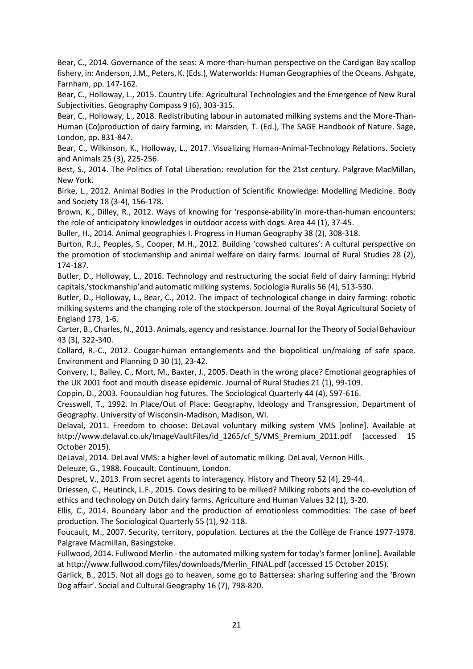Bear, C., 2014. Governance of the seas: A more-than-human perspective on the Cardigan Bay scallop fishery, in: Anderson, J.M., Peters, K. (Eds.), Waterworlds: Human Geographies of the Oceans. Ashgate, Farnham, pp. 147-162.

Bear, C., Holloway, L., 2015. Country Life: Agricultural Technologies and the Emergence of New Rural Subjectivities. Geography Compass 9 (6), 303-315.

Bear, C., Holloway, L., 2018. Redistributing labour in automated milking systems and the More-Than-Human (Co)production of dairy farming, in: Marsden, T. (Ed.), The SAGE Handbook of Nature. Sage, London, pp. 831-847.

Bear, C., Wilkinson, K., Holloway, L., 2017. Visualizing Human-Animal-Technology Relations. Society and Animals 25 (3), 225-256.

Best, S., 2014. The Politics of Total Liberation: revolution for the 21st century. Palgrave MacMillan, New York.

Birke, L., 2012. Animal Bodies in the Production of Scientific Knowledge: Modelling Medicine. Body and Society 18 (3-4), 156-178.

Brown, K., Dilley, R., 2012. Ways of knowing for 'response‐ability'in more‐than‐human encounters: the role of anticipatory knowledges in outdoor access with dogs. Area 44 (1), 37-45.

Buller, H., 2014. Animal geographies I. Progress in Human Geography 38 (2), 308-318.

Burton, R.J., Peoples, S., Cooper, M.H., 2012. Building 'cowshed cultures': A cultural perspective on the promotion of stockmanship and animal welfare on dairy farms. Journal of Rural Studies 28 (2), 174-187.

Butler, D., Holloway, L., 2016. Technology and restructuring the social field of dairy farming: Hybrid capitals,'stockmanship'and automatic milking systems. Sociologia Ruralis 56 (4), 513-530.

Butler, D., Holloway, L., Bear, C., 2012. The impact of technological change in dairy farming: robotic milking systems and the changing role of the stockperson. Journal of the Royal Agricultural Society of England 173, 1-6.

Carter, B., Charles, N., 2013. Animals, agency and resistance. Journal for the Theory of Social Behaviour 43 (3), 322-340.

Collard, R.-C., 2012. Cougar-human entanglements and the biopolitical un/making of safe space. Environment and Planning D 30 (1), 23-42.

Convery, I., Bailey, C., Mort, M., Baxter, J., 2005. Death in the wrong place? Emotional geographies of the UK 2001 foot and mouth disease epidemic. Journal of Rural Studies 21 (1), 99-109.

Coppin, D., 2003. Foucauldian hog futures. The Sociological Quarterly 44 (4), 597-616.

Cresswell, T., 1992. In Place/Out of Place: Geography, Ideology and Transgression, Department of Geography. University of Wisconsin-Madison, Madison, WI.

Delaval, 2011. Freedom to choose: DeLaval voluntary milking system VMS [online]. Available at http://www.delaval.co.uk/ImageVaultFiles/id\_1265/cf\_5/VMS\_Premium\_2011.pdf (accessed 15 October 2015).

DeLaval, 2014. DeLaval VMS: a higher level of automatic milking. DeLaval, Vernon Hills.

Deleuze, G., 1988. Foucault. Continuum, London.

Despret, V., 2013. From secret agents to interagency. History and Theory 52 (4), 29-44.

Driessen, C., Heutinck, L.F., 2015. Cows desiring to be milked? Milking robots and the co-evolution of ethics and technology on Dutch dairy farms. Agriculture and Human Values 32 (1), 3-20.

Ellis, C., 2014. Boundary labor and the production of emotionless commodities: The case of beef production. The Sociological Quarterly 55 (1), 92-118.

Foucault, M., 2007. Security, territory, population. Lectures at the the Collège de France 1977-1978. Palgrave Macmillan, Basingstoke.

Fullwood, 2014. Fullwood Merlin - the automated milking system for today's farmer [online]. Available at http://www.fullwood.com/files/downloads/Merlin\_FINAL.pdf (accessed 15 October 2015).

Garlick, B., 2015. Not all dogs go to heaven, some go to Battersea: sharing suffering and the 'Brown Dog affair'. Social and Cultural Geography 16 (7), 798-820.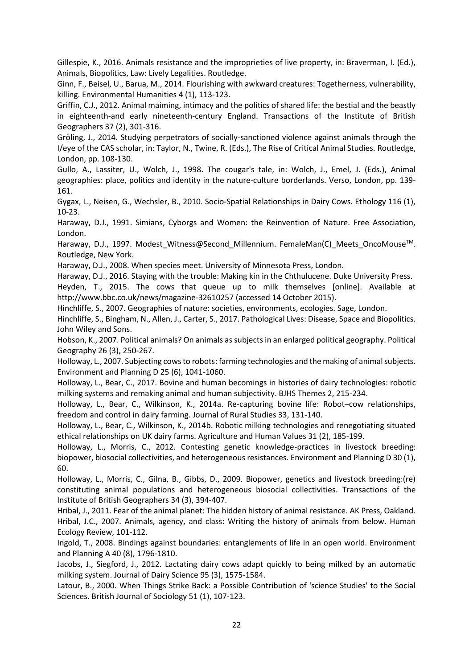Gillespie, K., 2016. Animals resistance and the improprieties of live property, in: Braverman, I. (Ed.), Animals, Biopolitics, Law: Lively Legalities. Routledge.

Ginn, F., Beisel, U., Barua, M., 2014. Flourishing with awkward creatures: Togetherness, vulnerability, killing. Environmental Humanities 4 (1), 113-123.

Griffin, C.J., 2012. Animal maiming, intimacy and the politics of shared life: the bestial and the beastly in eighteenth-and early nineteenth-century England. Transactions of the Institute of British Geographers 37 (2), 301-316.

Gröling, J., 2014. Studying perpetrators of socially-sanctioned violence against animals through the I/eye of the CAS scholar, in: Taylor, N., Twine, R. (Eds.), The Rise of Critical Animal Studies. Routledge, London, pp. 108-130.

Gullo, A., Lassiter, U., Wolch, J., 1998. The cougar's tale, in: Wolch, J., Emel, J. (Eds.), Animal geographies: place, politics and identity in the nature-culture borderlands. Verso, London, pp. 139- 161.

Gygax, L., Neisen, G., Wechsler, B., 2010. Socio‐Spatial Relationships in Dairy Cows. Ethology 116 (1), 10-23.

Haraway, D.J., 1991. Simians, Cyborgs and Women: the Reinvention of Nature. Free Association, London.

Haraway, D.J., 1997. Modest Witness@Second Millennium. FemaleMan(C) Meets OncoMouse™. Routledge, New York.

Haraway, D.J., 2008. When species meet. University of Minnesota Press, London.

Haraway, D.J., 2016. Staying with the trouble: Making kin in the Chthulucene. Duke University Press. Heyden, T., 2015. The cows that queue up to milk themselves [online]. Available at

http://www.bbc.co.uk/news/magazine-32610257 (accessed 14 October 2015).

Hinchliffe, S., 2007. Geographies of nature: societies, environments, ecologies. Sage, London.

Hinchliffe, S., Bingham, N., Allen, J., Carter, S., 2017. Pathological Lives: Disease, Space and Biopolitics. John Wiley and Sons.

Hobson, K., 2007. Political animals? On animals as subjects in an enlarged political geography. Political Geography 26 (3), 250-267.

Holloway, L., 2007. Subjecting cows to robots: farming technologies and the making of animal subjects. Environment and Planning D 25 (6), 1041-1060.

Holloway, L., Bear, C., 2017. Bovine and human becomings in histories of dairy technologies: robotic milking systems and remaking animal and human subjectivity. BJHS Themes 2, 215-234.

Holloway, L., Bear, C., Wilkinson, K., 2014a. Re-capturing bovine life: Robot–cow relationships, freedom and control in dairy farming. Journal of Rural Studies 33, 131-140.

Holloway, L., Bear, C., Wilkinson, K., 2014b. Robotic milking technologies and renegotiating situated ethical relationships on UK dairy farms. Agriculture and Human Values 31 (2), 185-199.

Holloway, L., Morris, C., 2012. Contesting genetic knowledge-practices in livestock breeding: biopower, biosocial collectivities, and heterogeneous resistances. Environment and Planning D 30 (1), 60.

Holloway, L., Morris, C., Gilna, B., Gibbs, D., 2009. Biopower, genetics and livestock breeding:(re) constituting animal populations and heterogeneous biosocial collectivities. Transactions of the Institute of British Geographers 34 (3), 394-407.

Hribal, J., 2011. Fear of the animal planet: The hidden history of animal resistance. AK Press, Oakland. Hribal, J.C., 2007. Animals, agency, and class: Writing the history of animals from below. Human Ecology Review, 101-112.

Ingold, T., 2008. Bindings against boundaries: entanglements of life in an open world. Environment and Planning A 40 (8), 1796-1810.

Jacobs, J., Siegford, J., 2012. Lactating dairy cows adapt quickly to being milked by an automatic milking system. Journal of Dairy Science 95 (3), 1575-1584.

Latour, B., 2000. When Things Strike Back: a Possible Contribution of 'science Studies' to the Social Sciences. British Journal of Sociology 51 (1), 107-123.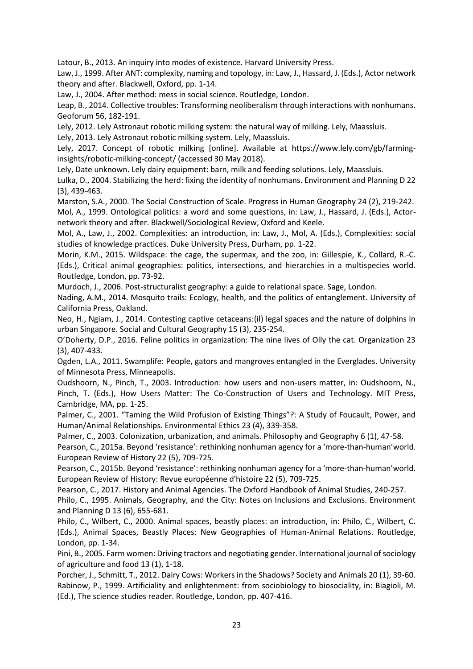Latour, B., 2013. An inquiry into modes of existence. Harvard University Press.

Law, J., 1999. After ANT: complexity, naming and topology, in: Law, J., Hassard, J. (Eds.), Actor network theory and after. Blackwell, Oxford, pp. 1-14.

Law, J., 2004. After method: mess in social science. Routledge, London.

Leap, B., 2014. Collective troubles: Transforming neoliberalism through interactions with nonhumans. Geoforum 56, 182-191.

Lely, 2012. Lely Astronaut robotic milking system: the natural way of milking. Lely, Maassluis.

Lely, 2013. Lely Astronaut robotic milking system. Lely, Maassluis.

Lely, 2017. Concept of robotic milking [online]. Available at https://www.lely.com/gb/farminginsights/robotic-milking-concept/ (accessed 30 May 2018).

Lely, Date unknown. Lely dairy equipment: barn, milk and feeding solutions. Lely, Maassluis.

Lulka, D., 2004. Stabilizing the herd: fixing the identity of nonhumans. Environment and Planning D 22 (3), 439-463.

Marston, S.A., 2000. The Social Construction of Scale. Progress in Human Geography 24 (2), 219-242.

Mol, A., 1999. Ontological politics: a word and some questions, in: Law, J., Hassard, J. (Eds.), Actornetwork theory and after. Blackwell/Sociological Review, Oxford and Keele.

Mol, A., Law, J., 2002. Complexities: an introduction, in: Law, J., Mol, A. (Eds.), Complexities: social studies of knowledge practices. Duke University Press, Durham, pp. 1-22.

Morin, K.M., 2015. Wildspace: the cage, the supermax, and the zoo, in: Gillespie, K., Collard, R.-C. (Eds.), Critical animal geographies: politics, intersections, and hierarchies in a multispecies world. Routledge, London, pp. 73-92.

Murdoch, J., 2006. Post-structuralist geography: a guide to relational space. Sage, London.

Nading, A.M., 2014. Mosquito trails: Ecology, health, and the politics of entanglement. University of California Press, Oakland.

Neo, H., Ngiam, J., 2014. Contesting captive cetaceans:(il) legal spaces and the nature of dolphins in urban Singapore. Social and Cultural Geography 15 (3), 235-254.

O'Doherty, D.P., 2016. Feline politics in organization: The nine lives of Olly the cat. Organization 23 (3), 407-433.

Ogden, L.A., 2011. Swamplife: People, gators and mangroves entangled in the Everglades. University of Minnesota Press, Minneapolis.

Oudshoorn, N., Pinch, T., 2003. Introduction: how users and non-users matter, in: Oudshoorn, N., Pinch, T. (Eds.), How Users Matter: The Co-Construction of Users and Technology. MIT Press, Cambridge, MA, pp. 1-25.

Palmer, C., 2001. "Taming the Wild Profusion of Existing Things"?: A Study of Foucault, Power, and Human/Animal Relationships. Environmental Ethics 23 (4), 339-358.

Palmer, C., 2003. Colonization, urbanization, and animals. Philosophy and Geography 6 (1), 47-58.

Pearson, C., 2015a. Beyond 'resistance': rethinking nonhuman agency for a 'more-than-human'world. European Review of History 22 (5), 709-725.

Pearson, C., 2015b. Beyond 'resistance': rethinking nonhuman agency for a 'more-than-human'world. European Review of History: Revue européenne d'histoire 22 (5), 709-725.

Pearson, C., 2017. History and Animal Agencies. The Oxford Handbook of Animal Studies, 240-257.

Philo, C., 1995. Animals, Geography, and the City: Notes on Inclusions and Exclusions. Environment and Planning D 13 (6), 655-681.

Philo, C., Wilbert, C., 2000. Animal spaces, beastly places: an introduction, in: Philo, C., Wilbert, C. (Eds.), Animal Spaces, Beastly Places: New Geographies of Human-Animal Relations. Routledge, London, pp. 1-34.

Pini, B., 2005. Farm women: Driving tractors and negotiating gender. International journal of sociology of agriculture and food 13 (1), 1-18.

Porcher, J., Schmitt, T., 2012. Dairy Cows: Workers in the Shadows? Society and Animals 20 (1), 39-60. Rabinow, P., 1999. Artificiality and enlightenment: from sociobiology to biosociality, in: Biagioli, M. (Ed.), The science studies reader. Routledge, London, pp. 407-416.